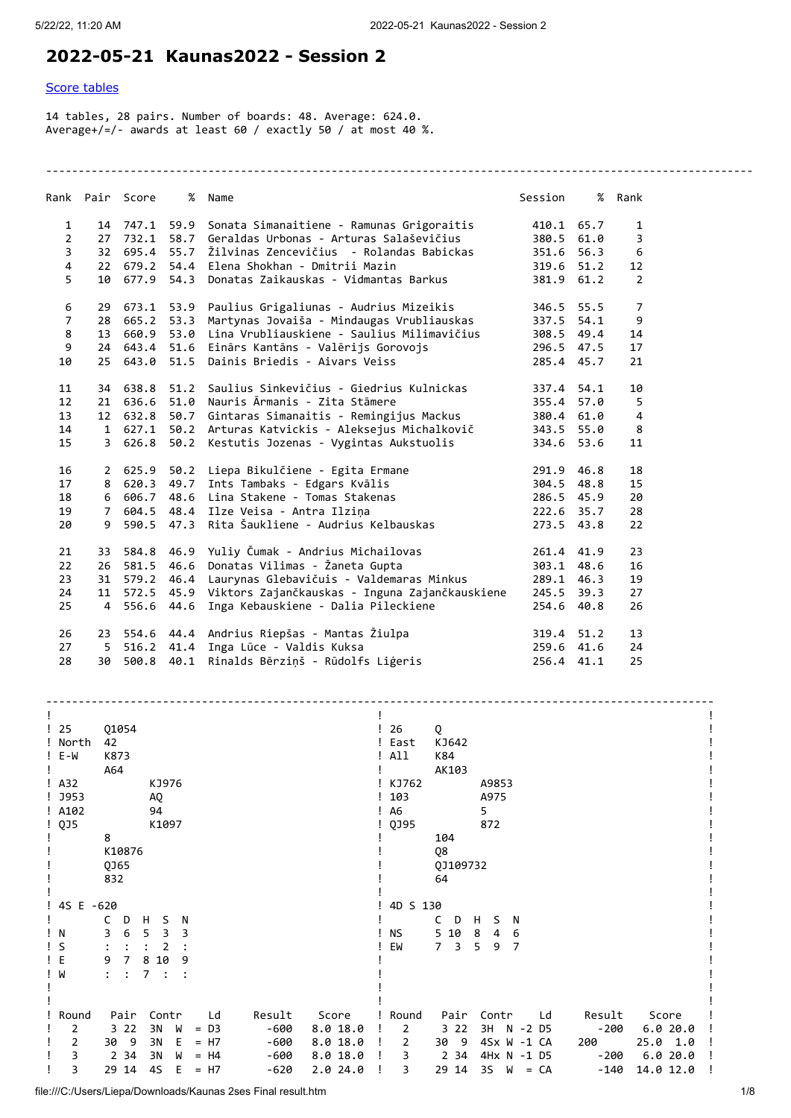## **2022-05-21 Kaunas2022 - Session 2**

## [Score tables](#page-0-0)

14 tables, 28 pairs. Number of boards: 48. Average: 624.0. Average+/=/- awards at least 60 / exactly 50 / at most 40 %.

|                 | Rank Pair Score | % Name                                                       | Session    | % Rank         |
|-----------------|-----------------|--------------------------------------------------------------|------------|----------------|
| $\mathbf{1}$    |                 | 14 747.1 59.9 Sonata Simanaitiene - Ramunas Grigoraitis      | 410.1 65.7 | 1              |
| $\overline{2}$  |                 | 27 732.1 58.7 Geraldas Urbonas - Arturas Salaševičius        | 380.5 61.0 | 3              |
| 3               |                 | 32 695.4 55.7 Žilvinas Zencevičius - Rolandas Babickas       | 351.6 56.3 | 6              |
| 4               |                 | 22 679.2 54.4 Elena Shokhan - Dmitrii Mazin                  | 319.6 51.2 | 12             |
| 5.              |                 | 10 677.9 54.3 Donatas Zaikauskas - Vidmantas Barkus          | 381.9 61.2 | $\overline{2}$ |
|                 |                 |                                                              |            |                |
| 6               |                 | 29 673.1 53.9 Paulius Grigaliunas - Audrius Mizeikis         | 346.5 55.5 | $\overline{7}$ |
| $\overline{7}$  | 28 665.2 53.3   | Martynas Jovaiša - Mindaugas Vrubliauskas                    | 337.5 54.1 | 9              |
| 8               | 13 660.9 53.0   | Lina Vrubliauskiene - Saulius Milimavičius                   | 308.5 49.4 | 14             |
| 9               |                 | 24 643.4 51.6 Einārs Kantāns - Valērijs Gorovojs             | 296.5 47.5 | 17             |
| 10              |                 | 25 643.0 51.5 Dainis Briedis - Aivars Veiss                  | 285.4 45.7 | 21             |
| 11              |                 | 34 638.8 51.2 Saulius Sinkevičius - Giedrius Kulnickas       | 337.4 54.1 | 10             |
| 12 <sup>2</sup> |                 | 21 636.6 51.0 Nauris Ārmanis - Zita Stāmere                  | 355.4 57.0 | 5              |
| 13              |                 | 12 632.8 50.7 Gintaras Simanaitis - Remingijus Mackus        | 380.4 61.0 | 4              |
| 14              |                 | 1 627.1 50.2 Arturas Katvickis - Aleksejus Michalkovič       | 343.5 55.0 | 8              |
| 15              |                 | 3 626.8 50.2 Kestutis Jozenas - Vygintas Aukstuolis          | 334.6 53.6 | 11             |
|                 |                 |                                                              |            |                |
| 16              |                 | 2 625.9 50.2 Liepa Bikulčiene - Egita Ermane                 | 291.9 46.8 | 18             |
| 17              |                 | 8 620.3 49.7 Ints Tambaks - Edgars Kvālis                    | 304.5 48.8 | 15             |
| 18              | 6 606.7 48.6    | Lina Stakene - Tomas Stakenas                                | 286.5 45.9 | 20             |
| 19              |                 | 7 604.5 48.4 Ilze Veisa - Antra Ilzina                       | 222.6 35.7 | 28             |
| 20              |                 | 9 590.5 47.3 Rita Šaukliene - Audrius Kelbauskas             | 273.5 43.8 | 22             |
| 21              |                 | 33 584.8 46.9 Yuliy Čumak - Andrius Michailovas              | 261.4 41.9 | 23             |
| 22              |                 | 26 581.5 46.6 Donatas Vilimas - Žaneta Gupta                 | 303.1 48.6 | 16             |
| 23              |                 | 31 579.2 46.4 Laurynas Glebavičuis - Valdemaras Minkus       | 289.1 46.3 | 19             |
|                 |                 |                                                              |            |                |
| 24              |                 | 11 572.5 45.9 Viktors Zajančkauskas - Inguna Zajančkauskiene | 245.5 39.3 | 27             |
| 25              | 4 556.6 44.6    | Inga Kebauskiene - Dalia Pileckiene                          | 254.6 40.8 | 26             |
| 26              |                 | 23 554.6 44.4 Andrius Riepšas - Mantas Žiulpa                | 319.4 51.2 | 13             |
| 27              |                 | 5 516.2 41.4 Inga Lūce - Valdis Kuksa                        | 259.6 41.6 | 24             |
| 28              |                 | 30 500.8 40.1 Rinalds Bērziņš - Rūdolfs Liģeris              | 256.4 41.1 | 25             |

-------------------------------------------------------------------------------------------------------------

<span id="page-0-0"></span>

| ! 25<br>! North<br>$! E-W$<br>$\frac{1}{2}$ A32<br>$! $ J953<br>! A102 | Q1054<br>42<br>K873<br>A64<br>KJ976<br>AQ<br>94              | 26<br>! East<br>All<br>! KJ762<br>103<br>L<br>A6<br>Ţ. | Q<br>KJ642<br>K84<br>AK103<br>A9853<br>A975<br>5 |                     |  |
|------------------------------------------------------------------------|--------------------------------------------------------------|--------------------------------------------------------|--------------------------------------------------|---------------------|--|
| ! QJ5                                                                  | K1097                                                        | QJ95                                                   | 872                                              |                     |  |
|                                                                        | 8<br>K10876<br>QJ65<br>832                                   |                                                        | 104<br>Q8<br>QJ109732<br>64                      |                     |  |
| 4S E -620                                                              |                                                              | 4D S 130                                               |                                                  |                     |  |
|                                                                        | C<br>D<br>Н<br>S<br>N                                        |                                                        | H<br>S<br>N<br>C<br>D                            |                     |  |
|                                                                        | 3<br>5<br>6<br>3<br>3                                        | <b>NS</b>                                              | 10<br>8<br>5<br>4<br>6                           |                     |  |
| ! N                                                                    |                                                              |                                                        | $\overline{7}$<br>9                              |                     |  |
| S                                                                      |                                                              | EM                                                     | 3<br>5<br>7                                      |                     |  |
| ! E                                                                    | 10<br>9<br>8<br>9                                            |                                                        |                                                  |                     |  |
| ! W                                                                    | 7<br>$\ddot{\phantom{a}}$                                    |                                                        |                                                  |                     |  |
|                                                                        |                                                              |                                                        |                                                  |                     |  |
|                                                                        |                                                              |                                                        |                                                  |                     |  |
| Round                                                                  | Pair<br>Contr<br>Result<br>Score<br>Ld                       | Round                                                  | Pair<br>Contr<br>Ld                              | Result<br>Score     |  |
| 2                                                                      | 322<br>-600<br>3N<br>$= D3$<br>8.0 18.0<br>W                 | $\overline{2}$                                         | 322<br>3H N -2 D5                                | 6.0 20.0<br>$-200$  |  |
| 2                                                                      | 30<br>- 9<br>3N<br>Е<br>$= H7$<br>-600<br>8.018.0            | 2                                                      | 4Sx W -1 CA<br>30 9                              | 200<br>25.0 1.0     |  |
| 3                                                                      | 34<br>8.018.0<br>$\overline{2}$<br>3N<br>-600<br>$= H4$<br>W | 3                                                      | 2 34<br>4Hx N -1 D5                              | 6.020.0<br>$-200$   |  |
| 3                                                                      | 4S<br>2.024.0<br>29<br>14<br>$= H7$<br>$-620$<br>Е           | 3                                                      | 3S<br>29 14<br>$= CA$<br>W                       | 14.0 12.0<br>$-140$ |  |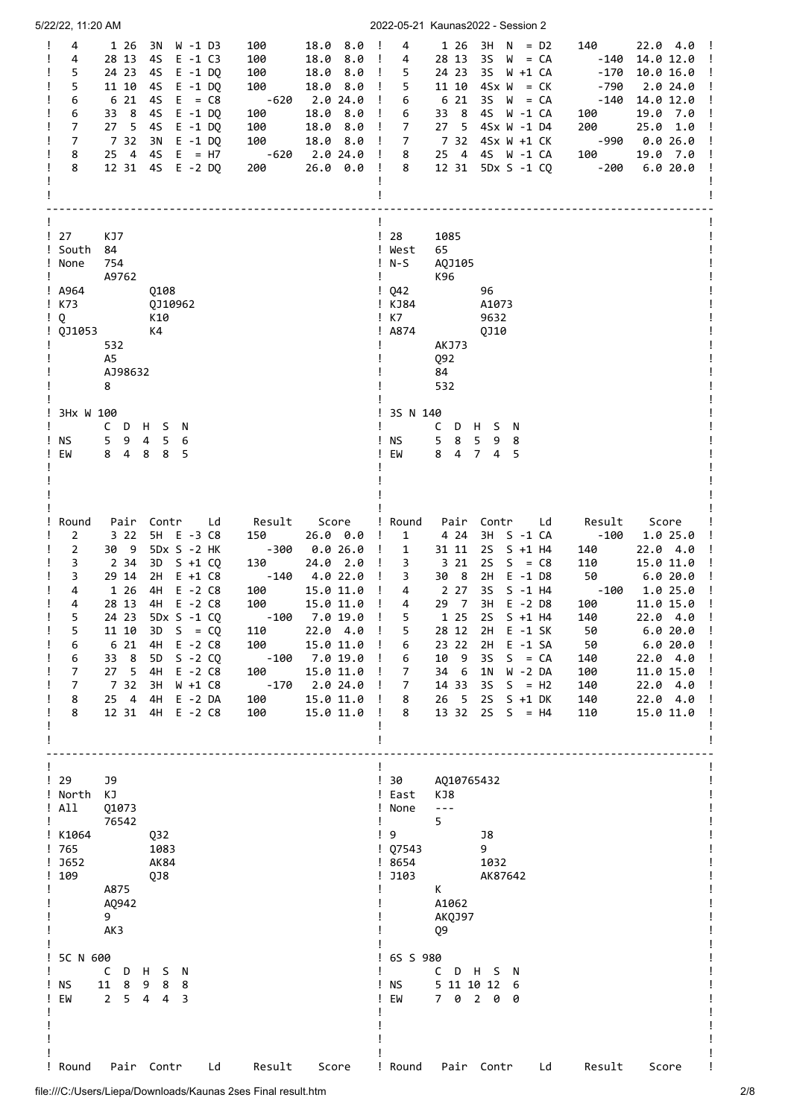| 5/22/22, 11:20 AM                                                                                                                                                                                                                                                                                                                                                                                                                                                                     |                                                                                                                                                                                                                                                                                                                                                                                                                                                        | 2022-05-21 Kaunas2022 - Session 2                                                                                                                                                                                                                                                                                                                                                                                                                                                                                                                                                                                                                                                                                                                                                                                                               |
|---------------------------------------------------------------------------------------------------------------------------------------------------------------------------------------------------------------------------------------------------------------------------------------------------------------------------------------------------------------------------------------------------------------------------------------------------------------------------------------|--------------------------------------------------------------------------------------------------------------------------------------------------------------------------------------------------------------------------------------------------------------------------------------------------------------------------------------------------------------------------------------------------------------------------------------------------------|-------------------------------------------------------------------------------------------------------------------------------------------------------------------------------------------------------------------------------------------------------------------------------------------------------------------------------------------------------------------------------------------------------------------------------------------------------------------------------------------------------------------------------------------------------------------------------------------------------------------------------------------------------------------------------------------------------------------------------------------------------------------------------------------------------------------------------------------------|
| 4<br>Ţ<br>1 26<br>3N W -1 D3<br>4<br>28 13<br>45<br>E -1 C3<br>5<br>24 23<br>4S<br>$E - 1$ DQ<br>5<br>11 10<br>4S E -1 DQ<br>6 21<br>$E = C8$<br>6<br>45<br>33 8<br>4S<br>$E - 1$ DQ<br>6<br>$\overline{7}$<br>27 5<br>4S<br>$E - 1$ DQ<br>$\overline{7}$<br>7 32<br>3N E -1 DQ<br>$25 \quad 4$<br>$4S \tE = H7$<br>8<br>8<br>12 31<br>4S E -2 DQ                                                                                                                                     | 18.0 8.0<br>$\mathbf{I}$<br>100<br>100<br>18.0<br>8.0<br>- 1<br>100<br>8.0<br>18.0<br>100<br>18.0 8.0<br>$\mathbf{I}$<br>$-620$<br>2.0 24.0<br>$\mathbf{I}$<br>100<br>18.0<br>8.0<br>$\mathbf{I}$<br>100<br>18.0 8.0<br>$\mathbf{I}$<br>18.0 8.0<br>100<br>$\mathbf{I}$<br>$-620$<br>2.0 24.0 !<br>200<br>$26.0$ $0.0$ !                                                                                                                               | 4<br>$1 26 3H N = D2$<br>140<br>$22.0 \t4.0 \t1$<br>4<br>28 13<br>$3S \quad W = CA$<br>$14.0 12.0$ !<br>-140<br>5<br>24 23<br>3S W +1 CA<br>$-170$<br>10.0 16.0<br>$\mathbf{I}$<br>Ţ<br>5<br>11 10 $4Sx W = CK$<br>-790<br>2.0 24.0<br>6 21<br>$35 W = CA$<br>-140<br>14.0 12.0<br>6<br>33 8<br>4S W -1 CA<br>6<br>100<br>19.0 7.0<br>27 5 4Sx W -1 D4<br>200<br>25.0 1.0<br>7<br>$\overline{7}$<br>7 32 4Sx W +1 CK<br>-990<br>0.0 26.0<br>25 4 4S W -1 CA<br>100<br>8<br>19.0 7.0<br>$-200$<br>8<br>12 31 5Dx S -1 CQ<br>6.020.0                                                                                                                                                                                                                                                                                                              |
| ! 27<br>KJ7<br>! South<br>84<br>! None<br>754<br>A9762<br>! A964<br>0108<br>K73<br>QJ10962<br>Q<br>K10<br>K4<br>0J1053<br>532<br>A5<br>AJ98632<br>8                                                                                                                                                                                                                                                                                                                                   |                                                                                                                                                                                                                                                                                                                                                                                                                                                        | $\frac{1}{28}$<br>1085<br>65<br>! West<br>$!$ N-S<br>AQJ105<br>Ţ.<br>K96<br>$\frac{1}{2}$ Q42<br>96<br>! KJ84<br>A1073<br>$\frac{1}{2}$ K7<br>9632<br>! A874<br>QJ10<br>AKJ73<br>Q92<br>84<br>532                                                                                                                                                                                                                                                                                                                                                                                                                                                                                                                                                                                                                                               |
| 3Hx W 100<br>CDHSN<br>ΝS<br>5 <sub>9</sub><br>4<br>5<br>6<br>EW<br>8<br>84<br>8<br>5                                                                                                                                                                                                                                                                                                                                                                                                  |                                                                                                                                                                                                                                                                                                                                                                                                                                                        | ! 3S N 140<br>CDHSN<br>! NS<br>5 <sub>8</sub><br>5 9<br>8<br>EW<br>$\overline{7}$<br>8 4<br>4<br>5                                                                                                                                                                                                                                                                                                                                                                                                                                                                                                                                                                                                                                                                                                                                              |
| Round<br>Pair Contr<br>Ld<br>3 2 2<br>5H E -3 C8<br>2<br>$\overline{2}$<br>30 9<br>5Dx S -2 HK<br>2 34<br>3<br>3D S +1 CO<br>3<br>29 14<br>2H<br>$E + 1 C8$<br>4<br>1 26<br>4H<br>E -2 C8<br>4<br>28 13<br>4H E -2 C8<br>5<br>24 23<br>5Dx S -1 CQ<br>5<br>11 10<br>3D<br>$S = CQ$<br>6<br>6 21<br>4H<br>$E - 2 C8$<br>33 8<br>6<br>5D<br>$S - 2 CQ$<br>27 <sub>5</sub><br>7<br>4H<br>$E - 2 C8$<br>7 32<br>7<br>3H<br>$W + 1 C8$<br>25 4<br>8<br>4H E -2 DA<br>8<br>12 31 4H E -2 C8 | Result<br>Score<br>26.0 0.0<br>150<br>-300<br>0.026.0<br>$\mathbf{I}$<br>24.0 2.0<br>$\mathbf{I}$<br>130<br>4.0 22.0<br>-140<br>$\mathbf{I}$<br>100<br>15.0 11.0<br>$\mathbf{I}$<br>100<br>$\mathbf{I}$<br>15.0 11.0<br>7.0 19.0<br>-100<br>22.04.0<br>110<br>100<br>15.0 11.0<br>$\mathbf{I}$<br>7.0 19.0<br>$-100$<br>$\mathbf{I}$<br>15.0 11.0<br>100<br>$\mathbf{I}$<br>-170<br>2.0 24.0<br>15.0 11.0 !<br>100<br>$\mathbf{I}$<br>100<br>15.0 11.0 | ! Round<br>Pair Contr Ld<br>Result<br>Score<br>4 24<br>3H S -1 CA<br>-100<br>÷<br>1<br>1.0 25.0<br>2S S +1 H4<br>31 11<br>22.04.0<br>1<br>140<br>3 21<br><b>2S</b><br>$S = C8$<br>15.0 11.0<br>3<br>110<br>30 8<br>$E - 1$ D8<br>2H<br>50<br>6.0 20.0<br>3<br>3S<br>4<br>2 2 7<br>$S - 1$ H4<br>-100 1.0 25.0<br>29 7<br>3H E -2 D8<br>4<br>100<br>11.0 15.0<br>Ţ<br>22.0 4.0<br>$\frac{1}{2}$<br>5<br>1 25<br>$S + 1$ H4<br>140<br>2S<br>5<br>28 12<br>2H<br>$E - 1 SK$<br>50<br>6.0 20.0<br>T<br>23 22<br>2H<br>$E - 1 SA$<br>6.0 20.0<br>6<br>50<br>10<br>- 9<br>3S<br>6<br>$S = CA$<br>140<br>22.04.0<br>34 6<br>1 <sub>N</sub><br>W -2 DA<br>100<br>11.0 15.0<br>7<br>14 33<br>3S<br>$S = H2$<br>140<br>22.04.0<br>$\mathbf{I}$<br>7<br><b>2S</b><br>$S + 1 DK$<br>8<br>26 5<br>140<br>22.04.0<br>13 32 2S S = H4<br>8<br>110<br>15.0 11.0 |
| $\frac{1}{29}$<br>J9<br>! North<br>КJ<br>! All<br>01073<br>76542<br>! K1064<br>Q32<br>! 765<br>1083<br>J652<br>AK84<br>109<br>QJ8<br>A875<br>A0942<br>9<br>AK3                                                                                                                                                                                                                                                                                                                        |                                                                                                                                                                                                                                                                                                                                                                                                                                                        | !30<br>AQ10765432<br>! East<br>KJ8<br>$\omega = \omega$<br>! None<br>5<br>Ţ.<br>$\frac{1}{2}$<br>J8<br>$1$ Q7543<br>9<br>! 8654<br>1032<br>$!$ J103<br>AK87642<br>K<br>A1062<br>AKQJ97<br>Q9                                                                                                                                                                                                                                                                                                                                                                                                                                                                                                                                                                                                                                                    |
| 5C N 600<br>C<br>D H S N<br>11 8 9 8 8<br>ΝS<br>$2 \quad 5 \quad 4$<br>EM<br>$4 \overline{3}$                                                                                                                                                                                                                                                                                                                                                                                         |                                                                                                                                                                                                                                                                                                                                                                                                                                                        | ! 6S S 980<br>C D H S N<br>5 11 10 12 6<br><b>NS</b><br>7 0 2 0 0<br>EW                                                                                                                                                                                                                                                                                                                                                                                                                                                                                                                                                                                                                                                                                                                                                                         |
| ! Round<br>Pair Contr<br>Ld                                                                                                                                                                                                                                                                                                                                                                                                                                                           | Result<br>Score                                                                                                                                                                                                                                                                                                                                                                                                                                        | ! Round<br>Pair Contr<br>Ld<br>Result<br>Score                                                                                                                                                                                                                                                                                                                                                                                                                                                                                                                                                                                                                                                                                                                                                                                                  |

file:///C:/Users/Liepa/Downloads/Kaunas 2ses Final result.htm 2/8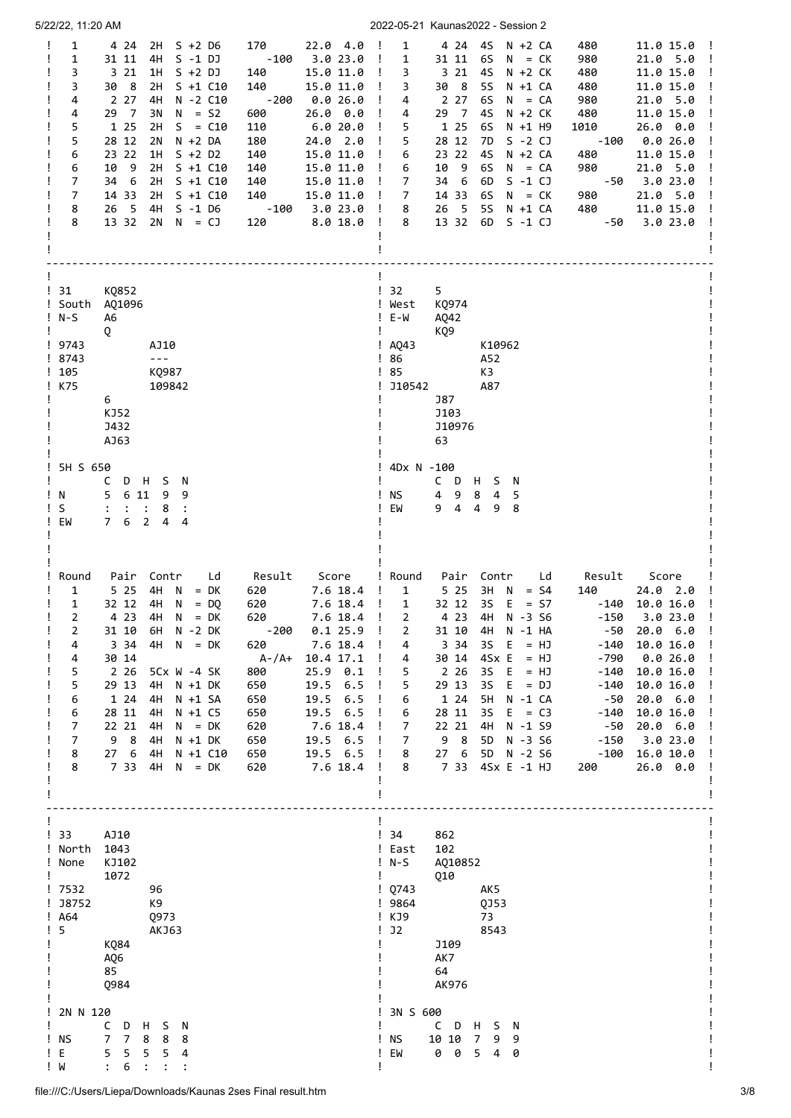| 5/22/22, 11:20 AM                                                                                                                                                                                                                                                                                                                                                                                                                                                                                                                                                                                                                                                                                                                                                                                          | 2022-05-21 Kaunas2022 - Session 2                                                                                                                                                                                                                                                                                                                                                                                                                                                                                                                                                                                                                                                                                                                                                                                                                                                                                                                                                                                                    |  |  |  |
|------------------------------------------------------------------------------------------------------------------------------------------------------------------------------------------------------------------------------------------------------------------------------------------------------------------------------------------------------------------------------------------------------------------------------------------------------------------------------------------------------------------------------------------------------------------------------------------------------------------------------------------------------------------------------------------------------------------------------------------------------------------------------------------------------------|--------------------------------------------------------------------------------------------------------------------------------------------------------------------------------------------------------------------------------------------------------------------------------------------------------------------------------------------------------------------------------------------------------------------------------------------------------------------------------------------------------------------------------------------------------------------------------------------------------------------------------------------------------------------------------------------------------------------------------------------------------------------------------------------------------------------------------------------------------------------------------------------------------------------------------------------------------------------------------------------------------------------------------------|--|--|--|
| $\mathbf{1}$<br>2H S +2 D6<br>170<br>$22.04.0$ !<br>Ţ<br>4 24<br>$-100$<br>31 11<br>1<br>4H<br>$S - 1 DJ$<br>3.0 23.0<br>3<br>3 21<br>1H<br>140<br>15.0 11.0<br>S +2 DJ<br>3<br>30 8<br>2H<br>S +1 C10<br>140<br>15.0 11.0<br>2 2 7<br>$-200$<br>4<br>4H<br>N -2 C10<br>0.026.0<br>29 7<br>3N<br>$N = S2$<br>26.0 0.0<br>4<br>600<br>5<br>1 25<br>2H<br>$S = C10$<br>110<br>6.0 20.0<br>5<br>28 12<br>180<br>24.0 2.0<br>2N<br>$N + 2 DA$<br>23 22<br>1H<br>6<br>$S + 2 D2$<br>140<br>15.0 11.0<br>6<br>10<br>- 9<br>2H<br>$S + 1 C10$<br>140<br>15.0 11.0<br>7<br>34<br>- 6<br>2H<br>$S + 1 C10$<br>140<br>15.0 11.0<br>7<br>2H<br>14 33<br>$S + 1 C10$<br>140<br>15.0 11.0<br>8<br>$\overline{\phantom{0}}$<br>4H S -1 D6<br>$-100$<br>26<br>3.0 23.0 !<br>8<br>$2N$ $N = CJ$<br>13 32<br>120<br>8.018.0 | $\mathbf{1}$<br>4 24 4S<br>N +2 CA<br>480<br>$11.015.0$ !<br>$\mathbf{I}$<br>$\mathbf{1}$<br>31 11<br>6S<br>$N = CK$<br>980<br>21.0 5.0<br>$\mathbf{I}$<br>3 21<br>4S<br>480<br>$\mathbf{I}$<br>3<br>N +2 CK<br>11.0 15.0<br>Ţ<br>30 8<br>5S<br>$N + 1 CA$<br>480<br>11.0 15.0<br>$\mathbf{I}$<br>3<br>2 2 7<br>6S<br>$\mathbf{I}$<br>$N = CA$<br>980<br>21.0 5.0<br>4<br>29 7<br>$\mathbf{I}$<br>4S<br>$N + 2 CK$<br>480<br>11.0 15.0<br>4<br>$\blacksquare$<br>5<br>1 25<br>6S<br>N +1 H9<br>26.0 0.0<br>1010<br>5<br>28 12<br>$\mathbf{I}$<br>7D<br>$S - 2 CJ$<br>$-100$<br>0.026.0<br>23 22<br>$\mathbf{I}$<br>4S<br>$N + 2 CA$<br>480<br>11.0 15.0<br>6<br>10 9<br>6S<br>980<br>$\mathbf{I}$<br>6<br>$N = CA$<br>21.0 5.0<br>- 6<br>$\mathbf{I}$<br>7<br>34<br>6D<br>$S - 1 CJ$<br>3.023.0<br>-50<br>14 33<br>980<br>$\mathbf{I}$<br>$\overline{7}$<br>6S<br>21.0 5.0<br>$N = CK$<br>26 5<br><b>5S</b><br>480<br>8<br>$N + 1 CA$<br>11.0 15.0<br>13 32<br>$\mathbf{I}$<br>8<br>6D<br>$S - 1 CJ$<br>$-50$<br>3.023.0             |  |  |  |
| $\frac{1}{31}$<br>KQ852<br>! South<br>AQ1096<br>$!$ N-S<br>A6<br>Ţ<br>Q<br>! 9743<br>AJ10<br>! 8743<br>$\sim$ $\sim$ $\sim$<br>!105<br>KQ987<br>! K75<br>109842<br>6<br>KJ52<br><b>J432</b><br>AJ63                                                                                                                                                                                                                                                                                                                                                                                                                                                                                                                                                                                                        | $\frac{1}{2}$ 32<br>5<br>! West<br>K0974<br>$! E-W$<br>AQ42<br>Ţ<br>KQ9<br>$!$ AQ43<br>K10962<br>86<br>A52<br>Ţ.<br>$\frac{1}{85}$<br>K3<br>J10542<br>A87<br>J87<br>J103<br>J10976<br>63                                                                                                                                                                                                                                                                                                                                                                                                                                                                                                                                                                                                                                                                                                                                                                                                                                             |  |  |  |
| 5H S 650<br>L<br>$\mathsf{C}$<br>D H S N<br>5<br>6 11<br>9<br>Ţ.<br>N<br>9<br>S<br>Ţ.<br>8<br>$\ddot{\cdot}$<br>$\ddot{\cdot}$<br>$\overline{2}$<br>EW<br>$7^{\circ}$<br>6<br>$\overline{4}$<br>4                                                                                                                                                                                                                                                                                                                                                                                                                                                                                                                                                                                                          | 4Dx N -100<br>CDHSN<br><b>NS</b><br>4 9<br>8<br>5<br>4<br>$9 \quad 4$<br>4<br>EW<br>9<br>8                                                                                                                                                                                                                                                                                                                                                                                                                                                                                                                                                                                                                                                                                                                                                                                                                                                                                                                                           |  |  |  |
| Round<br>Ld<br>Score<br>Pair<br>Contr<br>Result<br>5 2 5<br>$4H \quad N = DK$<br>1<br>620<br>7.6 18.4<br>4H N<br>1<br>32 12<br>620<br>7.6 18.4<br>$=$ DO<br>7.6 18.4<br>2<br>4 23<br>4H<br>$N = DK$<br>620<br>2<br>0.1 25.9<br>31 10<br>6H N -2 DK<br>$-200$<br>3 3 4<br>4H<br>$N = DK$<br>620<br>7.6 18.4<br>4<br>30 14<br>A-/A+<br>10.4 17.1<br>4<br>2 2 6<br>5<br>800<br>$25.9$ 0.1<br>$5Cx$ $W - 4$ $SK$<br>5<br>29 13<br>4H<br>650<br>19.5 6.5<br>N +1 DK<br>1 24<br>6<br>4H N +1 SA<br>650<br>19.5 6.5<br>28 11<br>650<br>19.5 6.5<br>6<br>4H<br>$N + 1 C5$<br>22 21<br>7<br>4H<br>620<br>7.6 18.4<br>$N = DK$<br>98<br>7<br>4H<br>650<br>19.5 6.5<br>N +1 DK<br>276<br>19.5 6.5<br>8<br>4H<br>N +1 C10<br>650<br>7 33 4H<br>8<br>620<br>7.6 18.4<br>$N = DK$                                        | ! Round<br>Pair Contr<br>Score<br>Ld<br>Result<br>5 2 5<br>3H N<br>$=$ S4<br>24.0 2.0<br>$\mathbf{I}$<br>1<br>140<br>$\mathbf{I}$<br>32 12<br>35<br>E<br>$\mathbf{1}$<br>$= S7$<br>-140<br>10.0 16.0<br>3.023.0<br>2<br>4 23 4H<br>N -3 S6<br>$-150$<br>$\mathbf{I}$<br>$\mathbf{I}$<br>31 10<br>4H<br>N -1 HA<br>-50<br>20.0 6.0<br>2<br>$\mathbf{I}$<br>3 3 4<br>$3S$ E<br>$= HJ$<br>$-140$<br>10.0 16.0<br>4<br>Ţ.<br>- !<br>$4Sx E = HJ$<br>30 14<br>$-790$<br>0.026.0<br>4<br>$\mathbf{I}$<br>$\mathbf{I}$<br>2 2 6<br>5<br>$3S \t E = HJ$<br>$-140$<br>10.0 16.0<br>Ţ<br>29 13<br>5<br>3S<br>$E = DJ$<br>-140<br>10.0 16.0<br>Ţ<br>1 24<br>5H<br>N -1 CA<br>6<br>-50<br>20.0 6.0<br>$\cdot$ !<br>28 11<br>3S<br>$E = C3$<br>$\mathbf{I}$<br>6<br>$-140$<br>10.0 16.0<br>22 21<br>4H<br>N -1 S9<br>20.0 6.0<br>7<br>-50<br>Ţ<br>98<br>7<br>5D N -3 S6<br>$-150$<br>3.023.0<br>$\cdot$ !<br>27 6<br>5D N -2 S6<br>16.0 10.0<br>8<br>$-100$<br>$\mathbf{I}$<br>7 33<br>4Sx E -1 HJ<br>8<br>$26.0\quad 0.0$<br>$\mathbf{I}$<br>200 |  |  |  |
| $\frac{1}{3}$<br>AJ10<br>! North<br>1043<br>KJ102<br>! None<br>1072<br>! 7532<br>96<br>! J8752<br>K9<br>$!$ A64<br>Q973<br>$\frac{1}{5}$<br><b>AKJ63</b><br>KQ84<br>AQ6<br>85<br>Q984                                                                                                                                                                                                                                                                                                                                                                                                                                                                                                                                                                                                                      | ! 34<br>862<br>102<br>! East<br>! N-S<br>A010852<br>Q10<br>10743<br>AK5<br>! 9864<br>QJ53<br>KJ9<br>73<br>J2<br>8543<br>J109<br>AK7<br>64<br>AK976                                                                                                                                                                                                                                                                                                                                                                                                                                                                                                                                                                                                                                                                                                                                                                                                                                                                                   |  |  |  |
| 2N N 120<br>c<br>D<br>H<br>S<br>- N<br>$\overline{7}$<br>! NS<br>$7^{\circ}$<br>8<br>8<br>8<br>5<br>! E<br>5<br>5<br>5<br>4<br>! M<br>6<br>$\ddot{\cdot}$                                                                                                                                                                                                                                                                                                                                                                                                                                                                                                                                                                                                                                                  | 3N S 600<br>C<br>D<br>S N<br>H<br>ΝS<br>10 10<br>7 <sup>7</sup><br>9<br>9<br>0 0<br>EM<br>5<br>4<br>0                                                                                                                                                                                                                                                                                                                                                                                                                                                                                                                                                                                                                                                                                                                                                                                                                                                                                                                                |  |  |  |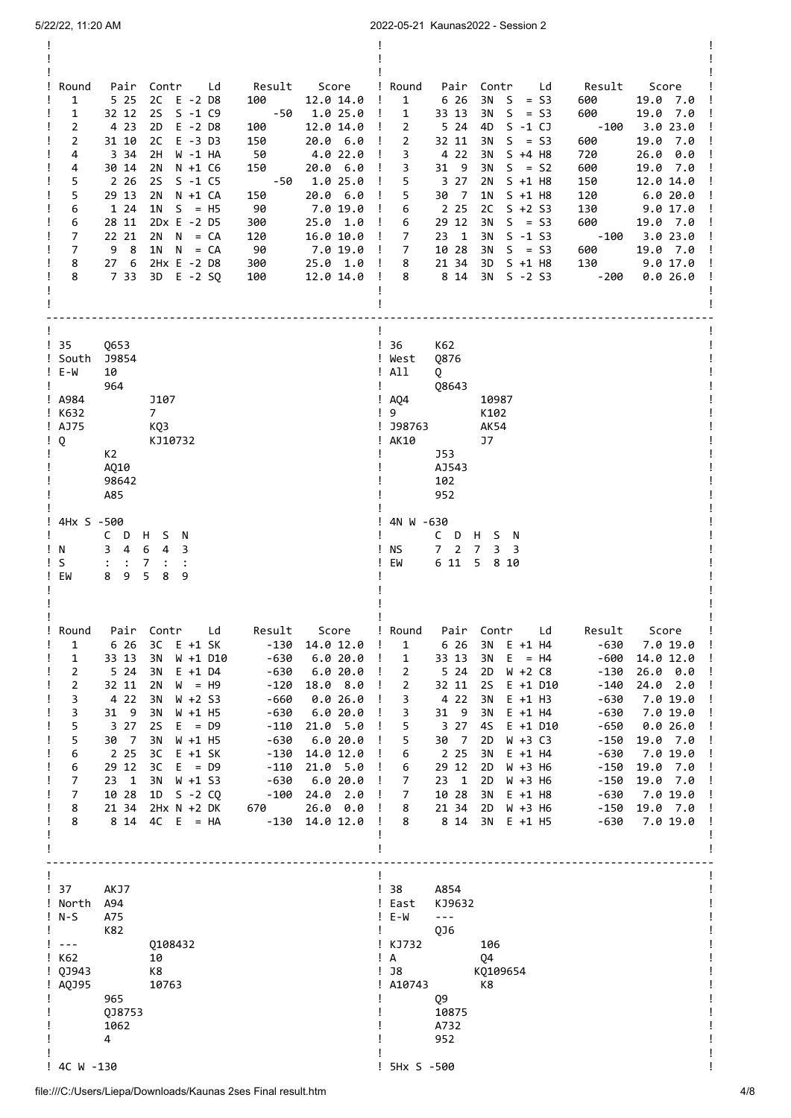| 2022-05-21 Kaunas2022 - Session 2<br>5/22/22, 11:20 AM                                                                                                                                                                                                                                                                                                                                                                                                                                                                                             |                                                                                                                                                                                                                                                                                                                                                           |                                                                                                                                                                                                                                                                                                                                                                                                                                                                                                                                                                                                                                                                                                                                                                                                                  |                                                                                                                                                                                                                                                                                                                                                                                                                                                                                      |  |  |  |  |
|----------------------------------------------------------------------------------------------------------------------------------------------------------------------------------------------------------------------------------------------------------------------------------------------------------------------------------------------------------------------------------------------------------------------------------------------------------------------------------------------------------------------------------------------------|-----------------------------------------------------------------------------------------------------------------------------------------------------------------------------------------------------------------------------------------------------------------------------------------------------------------------------------------------------------|------------------------------------------------------------------------------------------------------------------------------------------------------------------------------------------------------------------------------------------------------------------------------------------------------------------------------------------------------------------------------------------------------------------------------------------------------------------------------------------------------------------------------------------------------------------------------------------------------------------------------------------------------------------------------------------------------------------------------------------------------------------------------------------------------------------|--------------------------------------------------------------------------------------------------------------------------------------------------------------------------------------------------------------------------------------------------------------------------------------------------------------------------------------------------------------------------------------------------------------------------------------------------------------------------------------|--|--|--|--|
| Pair Contr Ld<br>Round<br>5 2 5<br>$\mathbf{1}$<br>2C E -2 D8<br>$\mathbf{1}$<br>32 12<br>2S<br>$S - 1 C9$<br>$\overline{2}$<br>4 2 3<br>2D<br>E -2 D8<br>$\overline{2}$<br>31 10<br>2C<br>E -3 D3<br>4<br>3 3 4<br>2H<br>W -1 HA<br>30 14<br>2N<br>4<br>N +1 C6<br>5<br>2 2 6<br>2S<br>$S - 1 C5$<br>5<br>29 13<br>2N N +1 CA<br>1 24<br>6<br>$1N$ S = H5<br>28 11<br>2Dx E -2 D5<br>6<br>7<br>22 21<br>$2N \tN = CA$<br>9 8<br>7<br>$1N$ $N = CA$<br>2Hx E -2 D8<br>8<br>276<br>8<br>733<br>3D E -2 SQ                                           | Result Score<br>100<br>12.0 14.0<br>-50<br>1.0 25.0<br>$\mathbf{I}$<br>100<br>12.0 14.0<br>20.0 6.0<br>150<br>50<br>4.0 22.0<br>150<br>20.0 6.0<br>1.0 25.0<br>-50<br>150<br>20.0 6.0<br>- 90<br>7.0 19.0<br>300<br>25.0 1.0<br>120<br>16.0 10.0<br>$\mathbf{I}$<br>90<br>7.0 19.0<br>$\mathbf{I}$<br>300<br>25.0 1.0<br>$\mathbf{I}$<br>12.0 14.0<br>100 | ! Round<br>Pair Contr Ld<br>6 26<br>$\mathbf{I}$<br>$\mathbf{1}$<br>$3N$ S = S3<br>33 13<br>$3N$ S = S3<br>1<br>4D S -1 CJ<br>$\mathbf{I}$<br>$\overline{2}$<br>5 24<br>$\overline{2}$<br>$S = S3$<br>$\mathbf{I}$<br>32 11<br>3N<br>4 2 2<br>$\mathbf{I}$<br>3<br>3N<br>$S + 4$ H8<br>$\mathbf{I}$<br>3<br>31 9<br>3N<br>$S = S2$<br>5<br>3 27<br>$S + 1$ H8<br>2N<br>$\mathbf{I}$<br>30 7<br>5<br>1N<br>$S + 1$ H8<br>$\mathbf{I}$<br>2 2 5<br>2C<br>$S + 2 S3$<br>- 1<br>6<br>29 12<br>$\mathbf{I}$<br>3N<br>$S = S3$<br>6<br>$\overline{7}$<br>$23 \quad 1$<br>3N<br>S -1 S3<br>$S = S3$<br>10 28<br>3N<br>7<br>8<br>21 34<br>3D<br>S +1 H8<br>8 14<br>8<br>3N S -2 S3<br>$\mathbf{I}$                                                                                                                       | Result<br>Score<br>600<br>19.0 7.0<br>600<br>19.0 7.0<br>-100<br>3.023.0<br>19.0 7.0<br>600<br>720<br>26.0 0.0<br>600<br>19.0 7.0<br>12.0 14.0<br>150<br>120<br>6.0 20.0<br>Ţ<br>130<br>9.017.0<br>600<br>19.0 7.0<br>$-100$<br>3.023.0<br>$\mathbf{I}$<br>19.0 7.0<br>600<br>130<br>9.0 17.0<br>$-200$<br>0.026.0                                                                                                                                                                   |  |  |  |  |
| ! 35<br>Q653<br>! South<br><b>J9854</b><br>! E-W<br>10<br>964<br>! A984<br>J107<br>! K632<br>$7^{\circ}$<br>! AJ75<br>KQ3<br>Q<br>KJ10732<br>K2<br>AQ10<br>98642<br>A85                                                                                                                                                                                                                                                                                                                                                                            |                                                                                                                                                                                                                                                                                                                                                           | ! 36<br>K62<br>! West<br>Q876<br>$!$ All<br>Q<br>Ţ.<br>Q8643<br>$\frac{1}{2}$ AQ4<br>10987<br>$\frac{1}{9}$<br>K102<br>! J98763<br><b>AK54</b><br>! AK10<br>J7<br>J53<br>AJ543<br>102<br>952                                                                                                                                                                                                                                                                                                                                                                                                                                                                                                                                                                                                                     |                                                                                                                                                                                                                                                                                                                                                                                                                                                                                      |  |  |  |  |
| 4Hx S -500<br>C D H S N<br>$3 \quad 4$<br>6 <sub>4</sub><br>!N<br>3<br>S<br>$\ddot{\cdot}$<br>$\therefore$<br>7<br>$\ddot{\cdot}$<br>5<br>9<br>8<br>EW<br>8<br>9                                                                                                                                                                                                                                                                                                                                                                                   |                                                                                                                                                                                                                                                                                                                                                           | 4N W -630<br>C D H S N<br>7 <sub>2</sub><br>$\overline{7}$<br>ΝS<br>3<br>3<br>6 11<br>5 8 10<br>EM                                                                                                                                                                                                                                                                                                                                                                                                                                                                                                                                                                                                                                                                                                               |                                                                                                                                                                                                                                                                                                                                                                                                                                                                                      |  |  |  |  |
| Contr<br>Round<br>Pair<br>$\mathbf{1}$<br>6 26<br>зс<br>E +1 SK<br>$\mathbf{1}$<br>33 13<br>3N<br>W +1 D10<br>$\overline{2}$<br>5 24<br>3N<br>$E + 1$ D4<br>2<br>32 11<br>2N<br>$W = H9$<br>3<br>4 2 2<br>3N<br>$W + 2 S3$<br>3<br>31 9<br>3N<br>$W + 1$ H5<br>5<br>3 27<br>2S<br>$E = D9$<br>5<br>30 7<br>3N<br>$W + 1$ H5<br>6<br>2 2 5<br>зс<br>E +1 SK<br>29 12<br>6<br>зс<br>$E = D9$<br>$\overline{7}$<br>$23 \quad 1$<br>3N<br>W +1 S3<br>$\overline{7}$<br>10 28<br>1D S -2 CQ<br>8<br>21 34<br>$2Hx N + 2 DK$<br>8<br>8 14<br>$4C$ E = HA | Ld<br>Result<br>Score<br>-130<br>14.0 12.0<br>$-630$<br>6.020.0<br>$-630$<br>6.020.0<br>$-120$<br>18.0 8.0<br>-660<br>0.026.0<br>6.020.0<br>$-630$<br>21.0 5.0<br>$-110$<br>$-630$<br>6.020.0<br>$-130$<br>14.0 12.0<br>$-110$<br>21.0 5.0<br>$-630$<br>6.020.0<br>24.0 2.0<br>$-100$<br>$26.0\quad 0.0$<br>$\mathbf{I}$<br>670 —<br>$-130$ 14.0 12.0     | ! Round<br>Ld<br>Pair Contr<br>$\mathbf{I}$<br>$\mathbf{1}$<br>6 26<br>3N<br>E +1 H4<br>33 13<br>$E_{\perp}$<br>$\mathbf{I}$<br>$\mathbf{1}$<br>3N<br>$= H4$<br>5 24<br>$\mathbf{I}$<br>$\overline{2}$<br>2D<br>$W + 2 C8$<br>25<br>$\mathbf{I}$<br>$\overline{2}$<br>32 11<br>$E + 1$ D10<br>3<br>4 2 2<br>$\mathbf{I}$<br>3N<br>$E + 1$ H3<br>3<br>31 9<br>$E + 1$ H4<br>$\mathbf{I}$<br>3N<br>5<br>3 2 7<br>$\mathbf{I}$<br>4S<br>$E + 1$ D10<br>5<br>$\mathbf{I}$<br>30 7<br>2D<br>$W + 3 C3$<br>2 2 5<br>6<br>$E + 1$ H4<br>$\mathbf{I}$<br>3N<br>29 12<br>6<br>2D<br>$W + 3$ H6<br>$\mathbf{I}$<br>$\mathbf{I}$<br>7<br>$23 \quad 1$<br>2D<br>$W + 3$ H6<br>$\overline{7}$<br>10 28<br>3N<br>$E + 1$ H8<br>$\mathbf{I}$<br>21 34<br>2D<br>8<br>$W + 3$ H6<br>$\mathbf{I}$<br>8 14<br>3N<br>8<br>$E + 1$ H5 | Result<br>Score<br>-630<br>7.0 19.0<br>-600<br>14.0 12.0<br>$\mathbf{I}$<br>$-130$<br>26.0 0.0<br>$\frac{1}{2}$<br>$-140$<br>24.0 2.0<br>Ţ<br>$-630$<br>7.0 19.0<br>$\mathbf{I}$<br>-630<br>7.0 19.0<br>$\cdot$ !<br>$-650$<br>0.026.0<br>Ţ<br>$-150$<br>19.0 7.0<br>$\cdot$ !<br>7.0 19.0<br>$-630$<br>- 1<br>$-150$<br>19.0 7.0<br>$\frac{1}{2}$<br>$-150$<br>19.0 7.0<br>$\mathbf{I}$<br>7.0 19.0<br>-630<br>$\mathbf{I}$<br>-150<br>19.0 7.0<br>$\mathbf{I}$<br>-630<br>7.0 19.0 |  |  |  |  |
| $\frac{1}{37}$<br>AKJ7<br>! North<br>A94<br>$!$ N-S<br>A75<br>K82<br>Ţ.<br>$\sim$ $\sim$ $\sim$<br>0108432<br>! K62<br>10<br>$!$ QJ943<br>K8<br>! AQJ95<br>10763<br>965<br>QJ8753<br>1062<br>4<br>! 4C W -130                                                                                                                                                                                                                                                                                                                                      |                                                                                                                                                                                                                                                                                                                                                           | $\frac{1}{38}$<br>A854<br>KJ9632<br>! East<br>$! \quad E-W$<br>$\omega = \omega$<br>Ţ<br>QJ6<br>! KJ732<br>106<br>$\mathsf{A}$<br>Q4<br>Ţ<br>$!$ J8<br>K0109654<br>K8<br>! A10743<br>Q9<br>10875<br>A732<br>952<br>! 5Hx S -500                                                                                                                                                                                                                                                                                                                                                                                                                                                                                                                                                                                  |                                                                                                                                                                                                                                                                                                                                                                                                                                                                                      |  |  |  |  |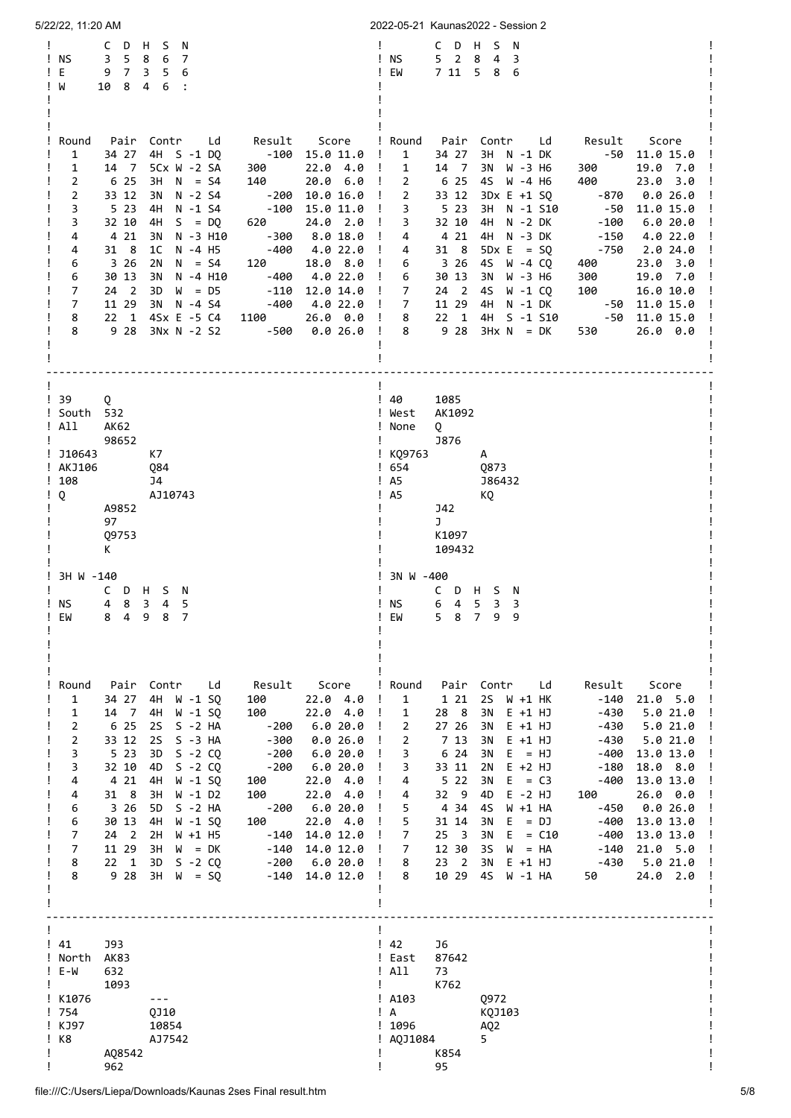| 5/22/22, 11:20 AM                                                                                                                                                                                                                                                                                                                                                                                                                                                                                                                                                                                                                                                                                                                                                                                                                              | 2022-05-21 Kaunas2022 - Session 2                                                                                                                                                                                                                                                                                                                                                                                                                                                                                                                                                                                                                                                                                                                                                                                                                                                                                                                                                                                |
|------------------------------------------------------------------------------------------------------------------------------------------------------------------------------------------------------------------------------------------------------------------------------------------------------------------------------------------------------------------------------------------------------------------------------------------------------------------------------------------------------------------------------------------------------------------------------------------------------------------------------------------------------------------------------------------------------------------------------------------------------------------------------------------------------------------------------------------------|------------------------------------------------------------------------------------------------------------------------------------------------------------------------------------------------------------------------------------------------------------------------------------------------------------------------------------------------------------------------------------------------------------------------------------------------------------------------------------------------------------------------------------------------------------------------------------------------------------------------------------------------------------------------------------------------------------------------------------------------------------------------------------------------------------------------------------------------------------------------------------------------------------------------------------------------------------------------------------------------------------------|
| C<br>D<br>H.<br>S<br>N<br>5 <sup>5</sup><br>8<br>6<br>! NS<br>3<br>7<br>Е<br>9 7<br>$3\quad 5$<br>6<br>Ţ.<br>8<br>4 6<br>! W<br>10<br>$\cdot$ :                                                                                                                                                                                                                                                                                                                                                                                                                                                                                                                                                                                                                                                                                                | C D<br>H<br>S<br>N<br>! NS<br>5 <sub>2</sub><br>8<br>4<br>3<br>EW<br>7 11 5 8 6<br>Ţ.                                                                                                                                                                                                                                                                                                                                                                                                                                                                                                                                                                                                                                                                                                                                                                                                                                                                                                                            |
| Pair<br>Contr<br>Result Score<br>Round<br>Ld<br>4H S -1 DQ<br>$-100$ 15.0 11.0<br>1<br>34 27<br>5Cx W -2 SA<br>1<br>14 7<br>300<br>$22.0 \t4.0$ !<br>2<br>6 25<br>$N = S4$<br>140<br>$20.0 \t 6.0!$<br>3H<br>$\overline{2}$<br>33 12<br>$N - 2S4$<br>-200<br>$10.0 16.0$ !<br>3N<br>3<br>5 2 3<br>4H<br>$N - 1$ S4<br>$-100$ 15.0 11.0<br>3<br>32 10<br>24.0 2.0<br>4H<br>$S = DQ$<br>620<br>4<br>4 21<br>$-300$<br>8.018.0<br>3N<br>N -3 H10<br>4<br>31 8<br>1C<br>N -4 H5<br>-400<br>4.022.0<br>6<br>3 26<br>2N<br>$N = S4$<br>120<br>18.0 8.0<br>6<br>30 13<br>-400<br>4.0 22.0<br>3N<br>N -4 H10<br>7<br>$24 \quad 2$<br>3D<br>$W = D5$<br>$-110$<br>12.0 14.0<br>7<br>11 29<br>3N N -4 S4<br>-400<br>4.0 22.0 !<br>8<br>4Sx E -5 C4<br>$22 \quad 1$<br>1100<br>$26.0$ $0.0$ !<br>8<br>9 28<br>3Nx N -2 S2<br>-500<br>$0.026.0$ !          | ! Round<br>Pair Contr Ld<br>Result<br>Score<br>$\mathbf{1}$<br>$-50$ 11.0 15.0<br>$\perp$<br>34 27<br>3H N -1 DK<br>$\mathbf{1}$<br>14 7<br>3N W -3 H6<br>300<br>19.0 7.0<br>$\mathbf{I}$<br>6 25<br>$\overline{2}$<br>4S W -4 H6<br>400<br>23.0 3.0<br>$\overline{2}$<br>33 12<br>3Dx E +1 SQ<br>-870<br>0.0 26.0<br>3<br>5 2 3<br>$\mathbf{I}$<br>3H N -1 S10<br>-50<br>11.0 15.0<br>$\mathbf{I}$<br>$\mathbf{I}$<br>3<br>32 10<br>4H N -2 DK<br>$-100$<br>6.020.0<br>$\mathbf{I}$<br>4 21<br>4H N -3 DK<br>$-150$<br>- 1<br>4<br>4.0 22.0<br>31 8<br>2.024.0<br>$\mathbf{I}$<br>4<br>$5Dx E = 5Q$<br>-750<br>3 2 6<br>4S W -4 CQ<br>400<br>23.0 3.0<br>$\mathbf{I}$<br>6<br>$\mathbf{I}$<br>30 13<br>3N W -3 H6<br>300<br>6<br>19.0 7.0<br>$\overline{7}$<br>100<br>$24 \quad 2$<br>4S W -1 CQ<br>16.0 10.0<br>$\mathbf{I}$<br>$7^{\circ}$<br>11 29 4H N -1 DK<br>-50<br>11.0 15.0<br>$\mathbf{I}$<br>$22 \quad 1$<br>$-50$<br>4H S -1 S10<br>11.0 15.0<br>8<br>9 2 8<br>$3Hx N = DK$<br>530<br>8<br>26.0 0.0 |
| $\frac{1}{39}$<br>Q<br>! South 532<br>! All<br><b>AK62</b><br>98652<br>! J10643<br>K7<br>! AKJ106<br>Q84<br>!108<br>J4<br>! Q<br>AJ10743<br>A9852<br>97<br>Q9753<br>K                                                                                                                                                                                                                                                                                                                                                                                                                                                                                                                                                                                                                                                                          | 1085<br>! 40<br>AK1092<br>! West<br>! None<br>Q<br>$\mathbf{I}$<br><b>J876</b><br>! KQ9763<br>A<br>1654<br>Q873<br>$!$ A5<br>J86432<br>! A5<br>КQ<br>J42<br>J<br>K1097<br>109432                                                                                                                                                                                                                                                                                                                                                                                                                                                                                                                                                                                                                                                                                                                                                                                                                                 |
| ! 3H W -140<br>C D H S N<br>4 8 3 4 5<br>! NS<br>8 4 9 8 7<br>EW                                                                                                                                                                                                                                                                                                                                                                                                                                                                                                                                                                                                                                                                                                                                                                               | 3N W -400<br>C D H S N<br>6 4 5 3<br>! NS<br>3<br>5 8 7 9 9<br>! EW                                                                                                                                                                                                                                                                                                                                                                                                                                                                                                                                                                                                                                                                                                                                                                                                                                                                                                                                              |
| Pair<br>Contr<br>Ld<br>Result Score<br>Round<br>34 27<br>4H<br>$W - 1$ SQ<br>22.04.0<br>1<br>100<br>$W - 1$ SQ<br>22.04.0<br>1<br>14 7<br>4H<br>100<br>2<br>6 25<br>$S - 2 HA$<br>6.020.0<br>2S<br>$-200$<br>$\overline{2}$<br>33 12<br><b>2S</b><br>$S - 3 HA$<br>-300<br>0.026.0<br>3<br>5 23<br>3D<br>$S - 2 CO$<br>$-200$<br>6.020.0<br>3<br>$S - 2 CQ$<br>32 10<br>4D<br>$-200$<br>6.020.0<br>4 21<br>4<br>4H<br>$W - 1$ SQ<br>22.04.0<br>100<br>31 8<br>4<br>3H<br>$W - 1 D2$<br>100<br>22.04.0<br>3 2 6<br>6.020.0<br>6<br>5D<br>$S - 2 HA$<br>-200<br>6<br>22.04.0<br>30 13<br>4H<br>$W - 1$ SQ<br>100<br>7<br>24 2<br>2H<br>$W + 1$ H5<br>-140<br>14.0 12.0<br>7<br>11 29<br>3H<br>$W = DK$<br>$-140$<br>14.0 12.0<br>8<br>$22 \quad 1$<br>3D<br>$S - 2 CQ$<br>$-200$<br>6.020.0<br>8<br>9 2 8<br>3H<br>$W = SQ$<br>-140<br>14.0 12.0 | Round<br>Pair<br>Contr<br>Ld<br>Result<br>Score<br>1 21<br>2S<br>W +1 HK<br>$-140$<br>21.0 5.0<br>1<br>28 8<br>$-430$<br>1<br>3N<br>$E + 1 HJ$<br>5.021.0<br>$\overline{2}$<br>27 26<br>Ţ<br>3N<br>$E + 1 H$<br>$-430$<br>5.021.0<br>Ţ<br>$\overline{2}$<br>7 13<br>3N<br>$E + 1 HJ$<br>$-430$<br>5.021.0<br>6 24<br>3N<br>$-400$<br>3<br>$E = HJ$<br>13.0 13.0<br>3<br>33 11<br>2N<br>$E + 2 HJ$<br>$-180$<br>18.0 8.0<br>T<br>Ţ<br>5 2 2<br>$E = C3$<br>3N<br>-400<br>13.0 13.0<br>Ţ<br>4<br>32 9<br>4D<br>$E - 2 HJ$<br>100<br>26.0 0.0<br>4<br>5<br>4 34<br>45<br>W +1 HA<br>-450<br>0.026.0<br>5<br>E<br>$-400$<br>31 14<br>3N<br>$= DJ$<br>13.0 13.0<br>$\cdot \cdot$<br>7<br>E<br>25<br>$\overline{\phantom{a}}$<br>3N<br>$= C10$<br>$-400$<br>13.0 13.0<br>3S<br>7<br>12 30<br>W<br>$= HA$<br>$-140$<br>21.0 5.0<br>Ţ<br>$\overline{\phantom{0}}$<br>23<br>3N<br>$E + 1 HJ$<br>$-430$<br>5.021.0<br>8<br>T<br>$\mathbf{I}$<br>10 29<br>45<br>8<br>W -1 HA<br>50<br>24.0 2.0<br>$\mathbf{I}$<br>T         |
| <b>J93</b><br>! 41<br>North AK83<br>! E-W<br>632<br>1093<br>! K1076<br>! 754<br>QJ10<br>! KJ97<br>10854<br>$!$ K8<br>AJ7542<br>AQ8542<br>962                                                                                                                                                                                                                                                                                                                                                                                                                                                                                                                                                                                                                                                                                                   | $\frac{1}{2}$<br>J6<br>! East<br>87642<br>! All<br>73<br>K762<br>$!$ A103<br>Q972<br>! A<br>KQJ103<br>!1096<br>AQ <sub>2</sub><br>! AQJ1084<br>5.<br>K854<br>95                                                                                                                                                                                                                                                                                                                                                                                                                                                                                                                                                                                                                                                                                                                                                                                                                                                  |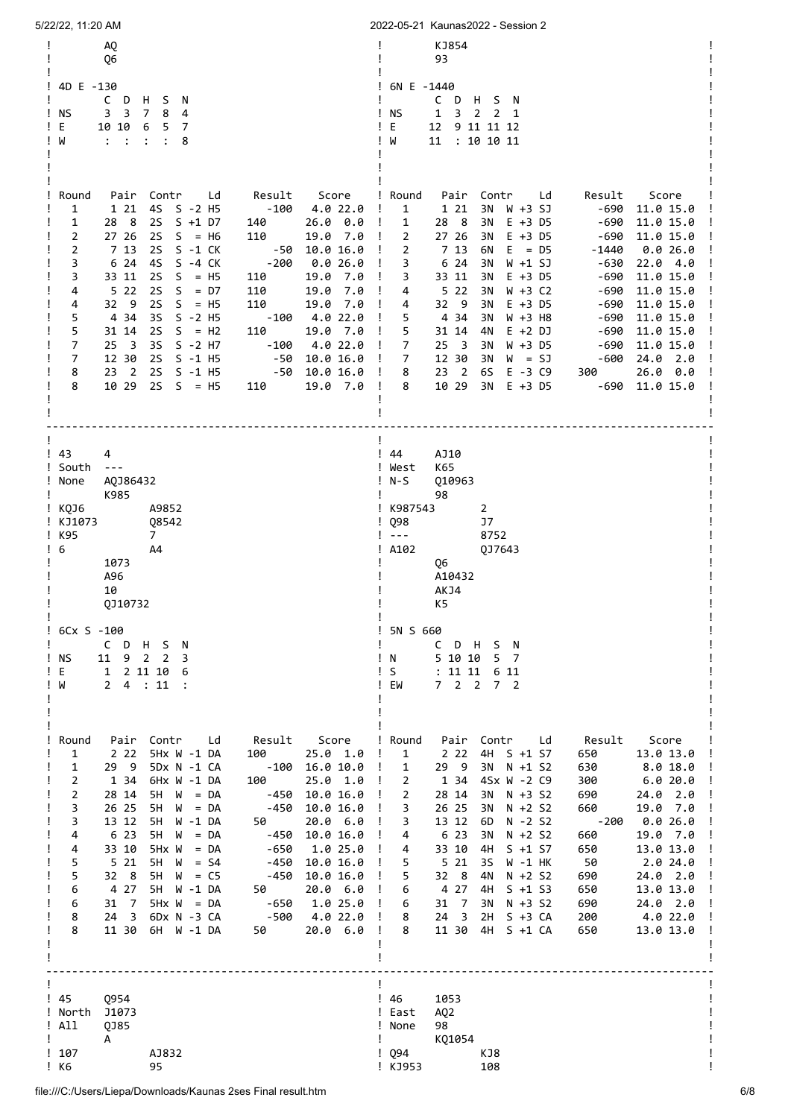| 5/22/22, 11:20 AM                                                                                                                                                                                                                                                                                                                                                                                                                                                                                                                                                                                                                                                                                                                                                                                                                                                                  | 2022-05-21 Kaunas2022 - Session 2                                                                                                                                                                                                                                                                                                                                                                                                                                                                                                                                                                                                                                                                                                                                                                                                                                                                                                                                                                                                                                                                    |
|------------------------------------------------------------------------------------------------------------------------------------------------------------------------------------------------------------------------------------------------------------------------------------------------------------------------------------------------------------------------------------------------------------------------------------------------------------------------------------------------------------------------------------------------------------------------------------------------------------------------------------------------------------------------------------------------------------------------------------------------------------------------------------------------------------------------------------------------------------------------------------|------------------------------------------------------------------------------------------------------------------------------------------------------------------------------------------------------------------------------------------------------------------------------------------------------------------------------------------------------------------------------------------------------------------------------------------------------------------------------------------------------------------------------------------------------------------------------------------------------------------------------------------------------------------------------------------------------------------------------------------------------------------------------------------------------------------------------------------------------------------------------------------------------------------------------------------------------------------------------------------------------------------------------------------------------------------------------------------------------|
| AQ<br>Q6<br>! 4D E -130<br>C D H S N<br>! NS<br>3 <sup>3</sup><br>$7\overline{ }$<br>8<br>4<br>! E<br>10 10<br>6<br>5<br>$\overline{7}$<br>$\mathbb{R}^2$ and $\mathbb{R}^2$<br>W<br>$\ddot{\cdot}$<br>$\ddot{\cdot}$<br>8                                                                                                                                                                                                                                                                                                                                                                                                                                                                                                                                                                                                                                                         | KJ854<br>93<br>! 6N E -1440<br>CDHSN<br>! NS<br>$\mathbf{1}$<br>$\overline{\mathbf{3}}$<br>$2 \t2 \t1$<br>! E<br>12<br>9 11 11 12<br>: 10 10 11<br>W<br>11                                                                                                                                                                                                                                                                                                                                                                                                                                                                                                                                                                                                                                                                                                                                                                                                                                                                                                                                           |
| Pair<br>Contr<br>Result<br>Score<br>Round<br>Ld<br>1<br>1 21<br>4S S -2 H5<br>-100<br>4.0 22.0<br>28 8<br>$S + 1 D7$<br><b>2S</b><br>$26.0\quad 0.0$<br>1<br>140<br>$2S S = H6$<br>$\overline{2}$<br>27 26<br>110<br>19.0 7.0 !<br>S -1 CK<br>$\overline{2}$<br>7 13<br><b>2S</b><br>-50<br>10.0 16.0<br>6 24<br>4S S -4 CK<br>$-200$<br>3<br>0.0 26.0<br>3<br>33 11<br>$S = H5$<br>2S<br>110<br>19.0 7.0<br>522<br><b>2S</b><br>$S = D7$<br>7.0<br>110<br>19.0<br>4<br>32 9<br><b>2S</b><br>$S = H5$<br>4<br>110<br>19.0 7.0<br>5<br>4 34<br>3S<br>$S - 2$ H5<br>-100<br>4.0 22.0<br>5<br><b>2S</b><br>$S = H2$<br>19.0 7.0<br>31 14<br>110<br>7<br>$25 \quad 3$<br>3S<br>$S - 2$ H7<br>$-100$<br>4.0 22.0<br>$\overline{7}$<br>12 30<br>2S S -1 H5<br>-50<br>10.0 16.0<br>23 <sub>2</sub><br>2S S -1 H5<br>8<br>-50<br>10.0 16.0<br>10 29<br>$2S S = H5$<br>8<br>110<br>19.0 7.0 | ! Round<br>Pair Contr<br>Result<br>Score<br>Ld<br>$\mathbf{1}$<br>1 21<br>3N<br>W +3 SJ<br>-690<br>11.0 15.0<br>$\mathbf{I}$<br>$\mathbf{I}$<br>28 8<br>3N<br>$E + 3$ D5<br>-690<br>11.0 15.0<br>1<br>$\overline{2}$<br>27 26<br>3N<br>$E + 3$ D5<br>-690<br>11.0 15.0<br>7 13<br>2<br>$E = D5$<br>0.026.0<br>$\mathbf{I}$<br>6N<br>-1440<br>6 24<br>3<br>3N<br>W +1 SJ<br>-630<br>22.04.0<br>$\mathbf{I}$<br>$\mathbf{I}$<br>3<br>33 11<br>3N<br>$E + 3$ D5<br>-690<br>11.0 15.0<br>522<br>$\mathbf{I}$<br>3N<br>$W + 3 C2$<br>-690<br>11.0 15.0<br>4<br>32 9<br>$E + 3$ D5<br>-690<br>$\mathbf{I}$<br>4<br>3N<br>11.0 15.0<br>$\mathbf{I}$<br>5<br>434<br>3N<br>$W + 3$ H <sub>8</sub><br>-690<br>11.0 15.0<br>5<br>$-690$<br>$\mathbf{I}$<br>31 14<br>4N<br>$E + 2 DJ$<br>11.0 15.0<br>$25 \quad 3$<br>$W + 3$ D5<br>-690<br>$\mathbf{I}$<br>7<br>3N<br>11.0 15.0<br>7<br>12 30<br>3N<br>-600<br>24.0 2.0<br>$\mathbf{I}$<br>$W = SJ$<br>23 <sub>2</sub><br>$E - 3 C9$<br>$\mathbf{I}$<br>8<br>6S<br>300<br>$26.0\quad 0.0$<br>10 29<br>$\mathbf{I}$<br>8<br>3N<br>$E + 3$ D5<br>$-690$ 11.0 15.0 |
| ! 43<br>4<br>! South ---<br>AQJ86432<br>! None<br>K985<br>і које<br>A9852<br>! KJ1073<br>Q8542<br>K95<br>7<br>$\frac{1}{6}$<br>A4<br>1073<br>A96<br>10<br>QJ10732                                                                                                                                                                                                                                                                                                                                                                                                                                                                                                                                                                                                                                                                                                                  | ! 44<br>AJ10<br>! West<br>K65<br>010963<br>! N-S<br>98<br>! K987543<br>$\overline{2}$<br>$\frac{1}{2}$ Q98<br>J7<br>$\sim$ $\sim$ $\sim$<br>8752<br>A102<br>QJ7643<br>Q6<br>A10432<br>AKJ4<br>K5                                                                                                                                                                                                                                                                                                                                                                                                                                                                                                                                                                                                                                                                                                                                                                                                                                                                                                     |
| 6Cx S -100<br>C D H S N<br>11<br>ΝS<br>9 2 2<br>3<br>E<br>1 2 11 10<br>6<br>24 : 11<br>W                                                                                                                                                                                                                                                                                                                                                                                                                                                                                                                                                                                                                                                                                                                                                                                           | 5N S 660<br>C D H S N<br>5 10 10<br>5 7<br>N<br>S<br>: 1111<br>6 11<br>7 2 2 7 2<br>EM                                                                                                                                                                                                                                                                                                                                                                                                                                                                                                                                                                                                                                                                                                                                                                                                                                                                                                                                                                                                               |
| Pair Contr<br>Ld<br>Result<br>Round<br>Score<br>25.0 1.0<br>$\mathbf{1}$<br>2 2 2<br>5Hx W -1 DA<br>100<br>29 9<br>$\mathbf{1}$<br>5Dx N -1 CA<br>-100<br>16.0 10.0<br>$\overline{2}$<br>1 34<br>6Hx W -1 DA<br>100<br>25.0 1.0<br>$\overline{2}$<br>$5H$ $W = DA$<br>10.0 16.0<br>28 14<br>-450<br>3<br>26 25<br>5H<br>$W = DA$<br>-450<br>10.0 16.0<br>50<br>3<br>13 12<br>5H W -1 DA<br>20.0 6.0<br>4<br>6 23<br>5H<br>W<br>-450<br>10.0 16.0<br>$= DA$<br>4<br>33 10<br>5Hx W<br>$= DA$<br>-650<br>1.0 25.0<br>521<br>5<br>5H<br>W<br>$-450$<br>10.0 16.0<br>$=$ S4<br>5<br>32 8<br>$5H W = C5$<br>-450<br>10.0 16.0<br>4 27<br>5H W -1 DA<br>6<br>50<br>20.0 6.0<br>31 7<br>$5Hx W = DA$<br>-650<br>1.0 25.0<br>6<br>- 500<br>4.0 22.0<br>8<br>24 3<br>6Dx N -3 CA<br>8<br>11 30<br>6H W -1 DA<br>50<br>20.0 6.0                                                              | ! Round<br>Pair Contr Ld<br>Result<br>Score<br>4H S +1 S7<br>$\mathbf{1}$<br>2 2 2<br>650<br>13.0 13.0<br>÷<br>29 9<br>3N N +1 S2<br>$\mathbf{1}$<br>630<br>8.0 18.0<br>Ţ.<br>1 34<br>4Sx W -2 C9<br>$\overline{2}$<br>300<br>6.0 20.0<br>$\mathbf{I}$<br>$\overline{2}$<br>$N + 3 S2$<br>24.0 2.0<br>$\mathbf{I}$<br>28 14<br>3N<br>690<br>3<br>26 25<br>$N + 2 S2$<br>660<br>19.0 7.0<br>- 1<br>3N<br>$-200$<br>0.026.0<br>13 12<br>$N - 2 S2$<br>T<br>3<br>6D<br>6 23<br>19.0 7.0<br>4<br>3N<br>$N + 2 S2$<br>660<br>$\mathbf{I}$<br>$\mathbf{I}$<br>4<br>33 10<br>4H<br>$S + 1 S7$<br>650<br>13.0 13.0<br>521<br>5<br>3S<br>W -1 HK<br>50<br>2.024.0<br>Ţ.<br>24.0 2.0<br>5<br>32 8<br>4N<br>$N + 2 S2$<br>690<br>$\mathbf{I}$<br>4 27<br>13.0 13.0<br>$\mathbf{I}$<br>4H<br>$S + 1 S3$<br>650<br>6<br>31 7<br>3N<br>$N + 3 S2$<br>690<br>24.0 2.0<br>$\mathbf{I}$<br>6<br>8<br>$24 \quad 3$<br>2H<br>$S + 3 CA$<br>200<br>4.0 22.0<br>$\cdot$ !<br>11 30<br>$\mathbf{I}$<br>8<br>4H<br>$S +1 CA$<br>650<br>13.0 13.0                                                                            |
| $\frac{1}{45}$<br>Q954<br>! North<br>J1073<br>! All<br>QJ85<br>L<br>A<br>! 107<br>AJ832<br>! K6<br>95                                                                                                                                                                                                                                                                                                                                                                                                                                                                                                                                                                                                                                                                                                                                                                              | ! 46<br>1053<br>! East<br>AQ <sub>2</sub><br>98<br>! None<br>KQ1054<br>$\mathbf{I}$ and $\mathbf{I}$<br>! Q94<br>KJ8<br>108<br>! KJ953                                                                                                                                                                                                                                                                                                                                                                                                                                                                                                                                                                                                                                                                                                                                                                                                                                                                                                                                                               |